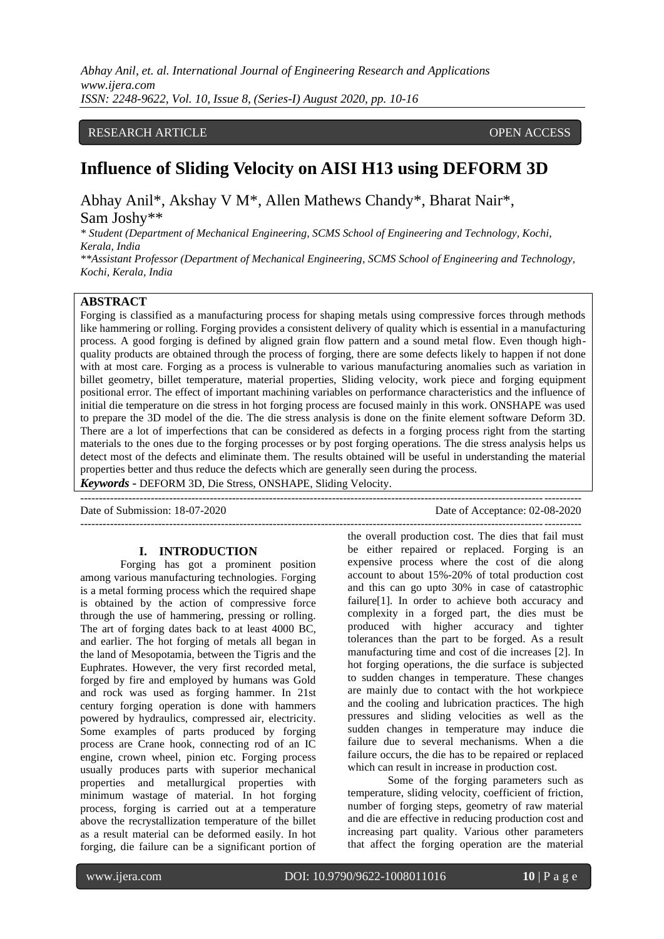## RESEARCH ARTICLE **CONSERVERS** OPEN ACCESS

# **Influence of Sliding Velocity on AISI H13 using DEFORM 3D**

Abhay Anil\*, Akshay V M\*, Allen Mathews Chandy\*, Bharat Nair\*, Sam Joshy\*\*

*\* Student (Department of Mechanical Engineering, SCMS School of Engineering and Technology, Kochi, Kerala, India*

*\*\*Assistant Professor (Department of Mechanical Engineering, SCMS School of Engineering and Technology, Kochi, Kerala, India*

## **ABSTRACT**

Forging is classified as a manufacturing process for shaping metals using compressive forces through methods like hammering or rolling. Forging provides a consistent delivery of quality which is essential in a manufacturing process. A good forging is defined by aligned grain flow pattern and a sound metal flow. Even though highquality products are obtained through the process of forging, there are some defects likely to happen if not done with at most care. Forging as a process is vulnerable to various manufacturing anomalies such as variation in billet geometry, billet temperature, material properties, Sliding velocity, work piece and forging equipment positional error. The effect of important machining variables on performance characteristics and the influence of initial die temperature on die stress in hot forging process are focused mainly in this work. ONSHAPE was used to prepare the 3D model of the die. The die stress analysis is done on the finite element software Deform 3D. There are a lot of imperfections that can be considered as defects in a forging process right from the starting materials to the ones due to the forging processes or by post forging operations. The die stress analysis helps us detect most of the defects and eliminate them. The results obtained will be useful in understanding the material properties better and thus reduce the defects which are generally seen during the process. *Keywords* **-** DEFORM 3D, Die Stress, ONSHAPE, Sliding Velocity.

---------------------------------------------------------------------------------------------------------------------------------------

Date of Submission: 18-07-2020 Date of Acceptance: 02-08-2020

---------------------------------------------------------------------------------------------------------------------------------------

#### **I. INTRODUCTION**

Forging has got a prominent position among various manufacturing technologies. Forging is a metal forming process which the required shape is obtained by the action of compressive force through the use of hammering, pressing or rolling. The art of forging dates back to at least 4000 BC, and earlier. The hot forging of metals all began in the land of Mesopotamia, between the Tigris and the Euphrates. However, the very first recorded metal, forged by fire and employed by humans was Gold and rock was used as forging hammer. In 21st century forging operation is done with hammers powered by hydraulics, compressed air, electricity. Some examples of parts produced by forging process are Crane hook, connecting rod of an IC engine, crown wheel, pinion etc. Forging process usually produces parts with superior mechanical properties and metallurgical properties with minimum wastage of material. In hot forging process, forging is carried out at a temperature above the recrystallization temperature of the billet as a result material can be deformed easily. In hot forging, die failure can be a significant portion of the overall production cost. The dies that fail must be either repaired or replaced. Forging is an expensive process where the cost of die along account to about 15%-20% of total production cost and this can go upto 30% in case of catastrophic failure[1]. In order to achieve both accuracy and complexity in a forged part, the dies must be produced with higher accuracy and tighter tolerances than the part to be forged. As a result manufacturing time and cost of die increases [2]. In hot forging operations, the die surface is subjected to sudden changes in temperature. These changes are mainly due to contact with the hot workpiece and the cooling and lubrication practices. The high pressures and sliding velocities as well as the sudden changes in temperature may induce die failure due to several mechanisms. When a die failure occurs, the die has to be repaired or replaced which can result in increase in production cost.

Some of the forging parameters such as temperature, sliding velocity, coefficient of friction, number of forging steps, geometry of raw material and die are effective in reducing production cost and increasing part quality. Various other parameters that affect the forging operation are the material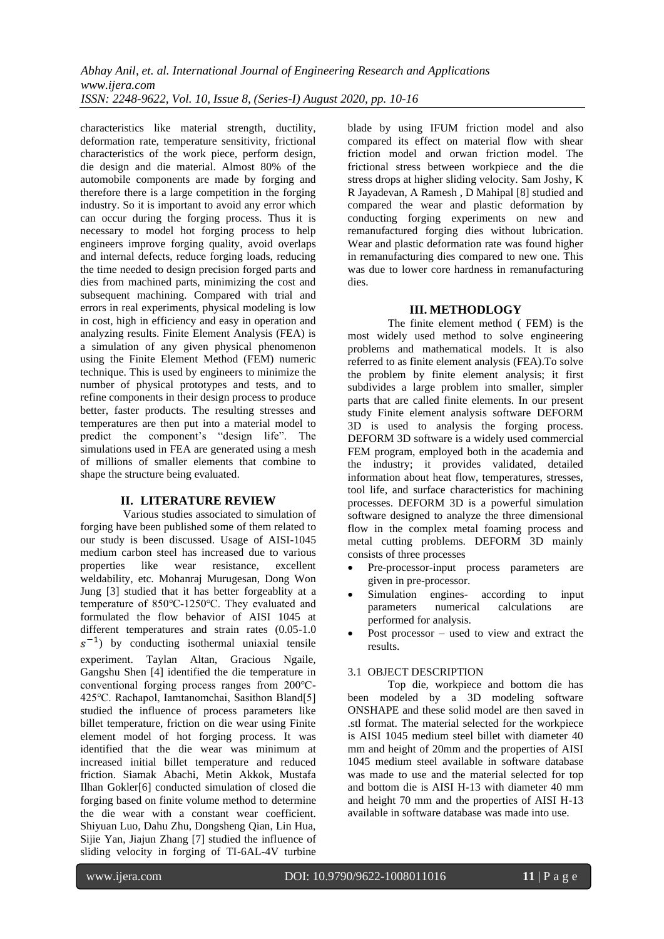characteristics like material strength, ductility, deformation rate, temperature sensitivity, frictional characteristics of the work piece, perform design, die design and die material. Almost 80% of the automobile components are made by forging and therefore there is a large competition in the forging industry. So it is important to avoid any error which can occur during the forging process. Thus it is necessary to model hot forging process to help engineers improve forging quality, avoid overlaps and internal defects, reduce forging loads, reducing the time needed to design precision forged parts and dies from machined parts, minimizing the cost and subsequent machining. Compared with trial and errors in real experiments, physical modeling is low in cost, high in efficiency and easy in operation and analyzing results. Finite Element Analysis (FEA) is a simulation of any given physical phenomenon using the Finite Element Method (FEM) numeric technique. This is used by engineers to minimize the number of physical prototypes and tests, and to refine components in their design process to produce better, faster products. The resulting stresses and temperatures are then put into a material model to predict the component's "design life". The simulations used in FEA are generated using a mesh of millions of smaller elements that combine to shape the structure being evaluated.

## **II. LITERATURE REVIEW**

Various studies associated to simulation of forging have been published some of them related to our study is been discussed. Usage of AISI-1045 medium carbon steel has increased due to various properties like wear resistance, excellent weldability, etc. Mohanraj Murugesan, Dong Won Jung [3] studied that it has better forgeablity at a temperature of 850℃-1250℃. They evaluated and formulated the flow behavior of AISI 1045 at different temperatures and strain rates (0.05-1.0  $s^{-1}$ ) by conducting isothermal uniaxial tensile experiment. Taylan Altan, Gracious Ngaile, Gangshu Shen [4] identified the die temperature in conventional forging process ranges from 200℃- 425℃. Rachapol, Iamtanomchai, Sasithon Bland[5] studied the influence of process parameters like billet temperature, friction on die wear using Finite element model of hot forging process. It was identified that the die wear was minimum at increased initial billet temperature and reduced friction. Siamak Abachi, Metin Akkok, Mustafa Ilhan Gokler[6] conducted simulation of closed die forging based on finite volume method to determine the die wear with a constant wear coefficient. Shiyuan Luo, Dahu Zhu, Dongsheng Qian, Lin Hua, Sijie Yan, Jiajun Zhang [7] studied the influence of sliding velocity in forging of TI-6AL-4V turbine

blade by using IFUM friction model and also compared its effect on material flow with shear friction model and orwan friction model. The frictional stress between workpiece and the die stress drops at higher sliding velocity. Sam Joshy, K R Jayadevan, A Ramesh , D Mahipal [8] studied and compared the wear and plastic deformation by conducting forging experiments on new and remanufactured forging dies without lubrication. Wear and plastic deformation rate was found higher in remanufacturing dies compared to new one. This was due to lower core hardness in remanufacturing dies.

## **III. METHODLOGY**

 The finite element method ( FEM) is the most widely used method to solve engineering problems and mathematical models. It is also referred to as finite element analysis (FEA).To solve the problem by finite element analysis; it first subdivides a large problem into smaller, simpler parts that are called finite elements. In our present study Finite element analysis software DEFORM 3D is used to analysis the forging process. DEFORM 3D software is a widely used commercial FEM program, employed both in the academia and the industry; it provides validated, detailed information about heat flow, temperatures, stresses, tool life, and surface characteristics for machining processes. DEFORM 3D is a powerful simulation software designed to analyze the three dimensional flow in the complex metal foaming process and metal cutting problems. DEFORM 3D mainly consists of three processes

- Pre-processor-input process parameters are given in pre-processor.
- Simulation engines- according to input parameters numerical calculations are performed for analysis.
- Post processor  $-$  used to view and extract the results.

## 3.1 OBJECT DESCRIPTION

Top die, workpiece and bottom die has been modeled by a 3D modeling software ONSHAPE and these solid model are then saved in .stl format. The material selected for the workpiece is AISI 1045 medium steel billet with diameter 40 mm and height of 20mm and the properties of AISI 1045 medium steel available in software database was made to use and the material selected for top and bottom die is AISI H-13 with diameter 40 mm and height 70 mm and the properties of AISI H-13 available in software database was made into use.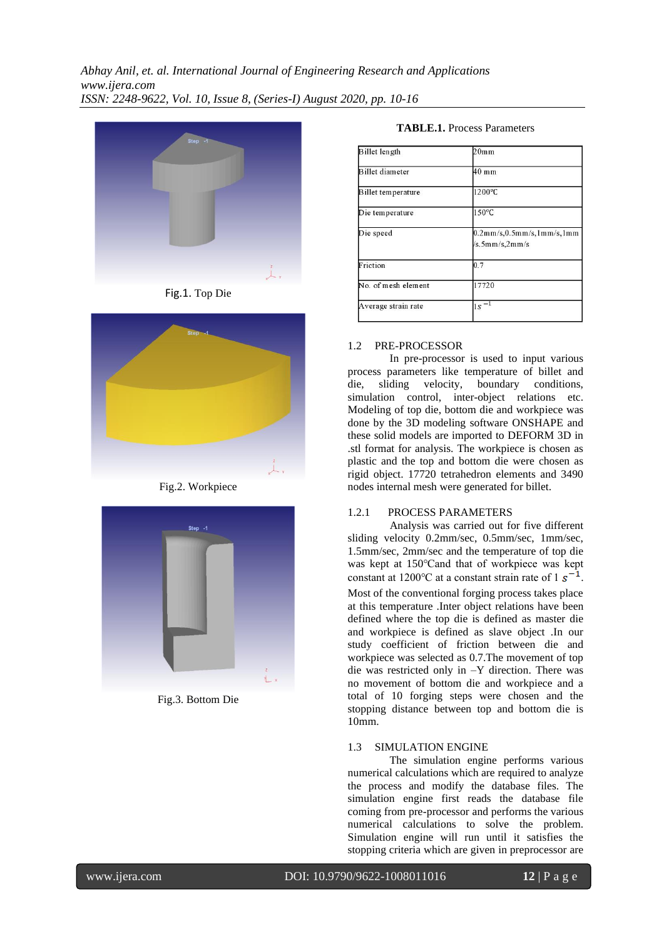





Fig.2. Workpiece



Fig.3. Bottom Die

## **TABLE.1.** Process Parameters

| Billet length          | 20 <sub>mm</sub>                                           |
|------------------------|------------------------------------------------------------|
| <b>Billet</b> diameter | $40$ mm                                                    |
| Billet temperature     | 1200°C                                                     |
| Die temperature        | 150°C                                                      |
| Die speed              | $0.2$ mm/s, $0.5$ mm/s, $1$ mm/s, $1$ mm<br>/s.5mm/s,2mm/s |
| Friction               | 0.7                                                        |
| No. of mesh element    | 17720                                                      |
| Average strain rate    | $1s^{-1}$                                                  |

## 1.2 PRE-PROCESSOR

 In pre-processor is used to input various process parameters like temperature of billet and<br>die, sliding velocity, boundary conditions, die, sliding velocity, boundary conditions, simulation control, inter-object relations etc. Modeling of top die, bottom die and workpiece was done by the 3D modeling software ONSHAPE and these solid models are imported to DEFORM 3D in .stl format for analysis. The workpiece is chosen as plastic and the top and bottom die were chosen as rigid object. 17720 tetrahedron elements and 3490 nodes internal mesh were generated for billet.

## 1.2.1 PROCESS PARAMETERS

 Analysis was carried out for five different sliding velocity 0.2mm/sec, 0.5mm/sec, 1mm/sec, 1.5mm/sec, 2mm/sec and the temperature of top die was kept at 150℃and that of workpiece was kept constant at 1200 °C at a constant strain rate of  $1 \text{ s}^{-1}$ . Most of the conventional forging process takes place

at this temperature .Inter object relations have been defined where the top die is defined as master die and workpiece is defined as slave object .In our study coefficient of friction between die and workpiece was selected as 0.7.The movement of top die was restricted only in –Y direction. There was no movement of bottom die and workpiece and a total of 10 forging steps were chosen and the stopping distance between top and bottom die is 10mm.

## 1.3 SIMULATION ENGINE

 The simulation engine performs various numerical calculations which are required to analyze the process and modify the database files. The simulation engine first reads the database file coming from pre-processor and performs the various numerical calculations to solve the problem. Simulation engine will run until it satisfies the stopping criteria which are given in preprocessor are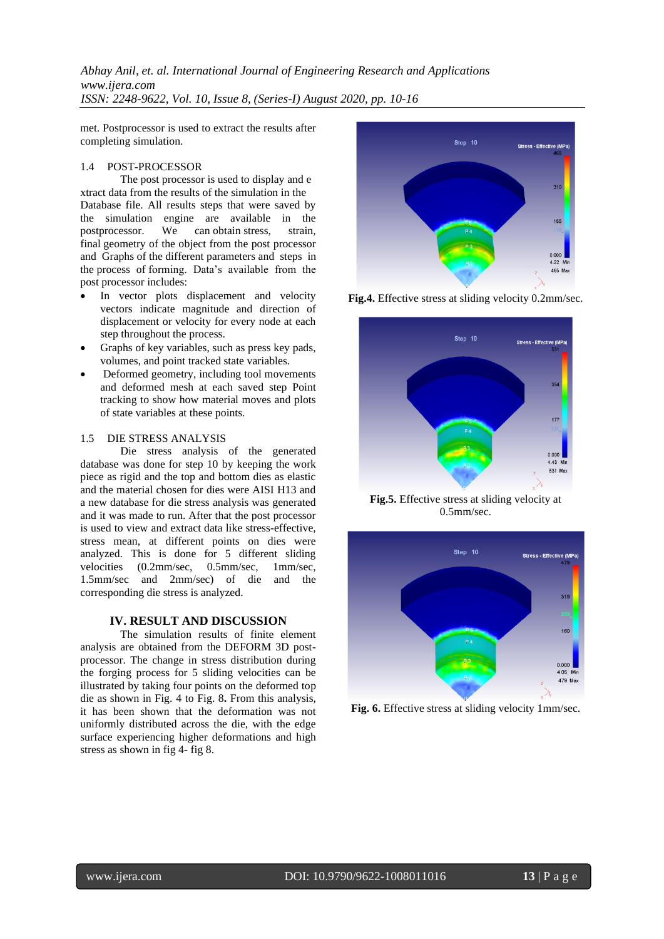*Abhay Anil, et. al. International Journal of Engineering Research and Applications www.ijera.com ISSN: 2248-9622, Vol. 10, Issue 8, (Series-I) August 2020, pp. 10-16*

met. Postprocessor is used to extract the results after completing simulation.

#### 1.4 POST-PROCESSOR

The post processor is used to display and e xtract data from the results of the simulation in the Database file. All results steps that were saved by the simulation engine are available in the postprocessor. We can obtain stress, strain, final geometry of the object from the post processor and Graphs of the different parameters and steps in the process of forming. Data's available from the post processor includes:

- In vector plots displacement and velocity vectors indicate magnitude and direction of displacement or velocity for every node at each step throughout the process.
- Graphs of key variables, such as press key pads, volumes, and point tracked state variables.
- Deformed geometry, including tool movements and deformed mesh at each saved step Point tracking to show how material moves and plots of state variables at these points.

#### 1.5 DIE STRESS ANALYSIS

Die stress analysis of the generated database was done for step 10 by keeping the work piece as rigid and the top and bottom dies as elastic and the material chosen for dies were AISI H13 and a new database for die stress analysis was generated and it was made to run. After that the post processor is used to view and extract data like stress-effective, stress mean, at different points on dies were analyzed. This is done for 5 different sliding velocities (0.2mm/sec, 0.5mm/sec, 1mm/sec, 1.5mm/sec and 2mm/sec) of die and the corresponding die stress is analyzed.

#### **IV. RESULT AND DISCUSSION**

The simulation results of finite element analysis are obtained from the DEFORM 3D postprocessor. The change in stress distribution during the forging process for 5 sliding velocities can be illustrated by taking four points on the deformed top die as shown in Fig. 4 to Fig. 8**.** From this analysis, it has been shown that the deformation was not uniformly distributed across the die, with the edge surface experiencing higher deformations and high stress as shown in fig 4- fig 8.



**Fig.4.** Effective stress at sliding velocity 0.2mm/sec.



**Fig.5.** Effective stress at sliding velocity at 0.5mm/sec.



**Fig. 6.** Effective stress at sliding velocity 1mm/sec.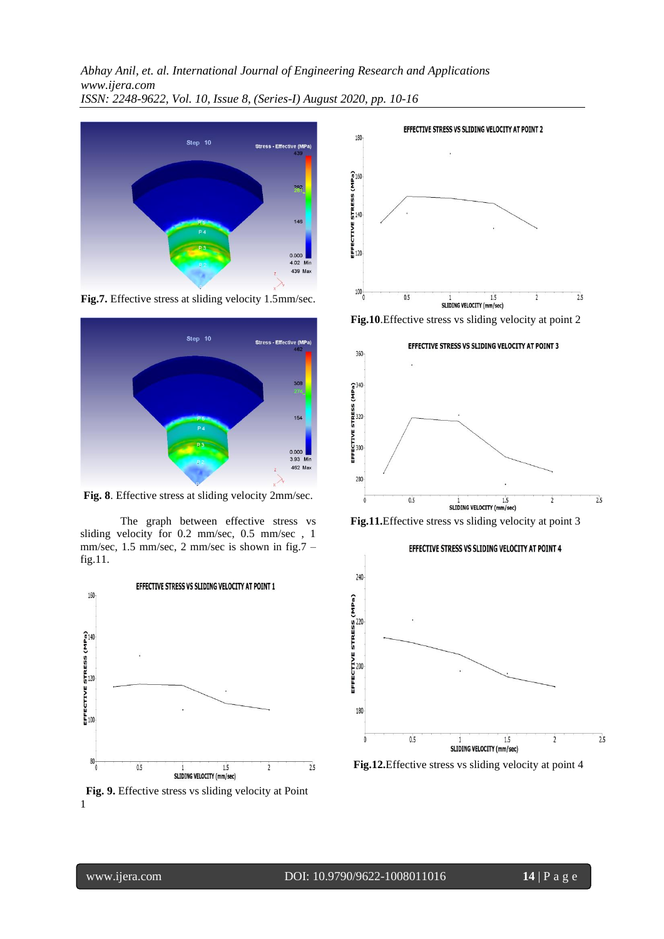*Abhay Anil, et. al. International Journal of Engineering Research and Applications www.ijera.com ISSN: 2248-9622, Vol. 10, Issue 8, (Series-I) August 2020, pp. 10-16*



**Fig.7.** Effective stress at sliding velocity 1.5mm/sec.



**Fig. 8**. Effective stress at sliding velocity 2mm/sec.

The graph between effective stress vs sliding velocity for 0.2 mm/sec, 0.5 mm/sec , 1 mm/sec, 1.5 mm/sec, 2 mm/sec is shown in fig.7 – fig.11.



 **Fig. 9.** Effective stress vs sliding velocity at Point 1



**Fig.10**.Effective stress vs sliding velocity at point 2







**Fig.12.**Effective stress vs sliding velocity at point 4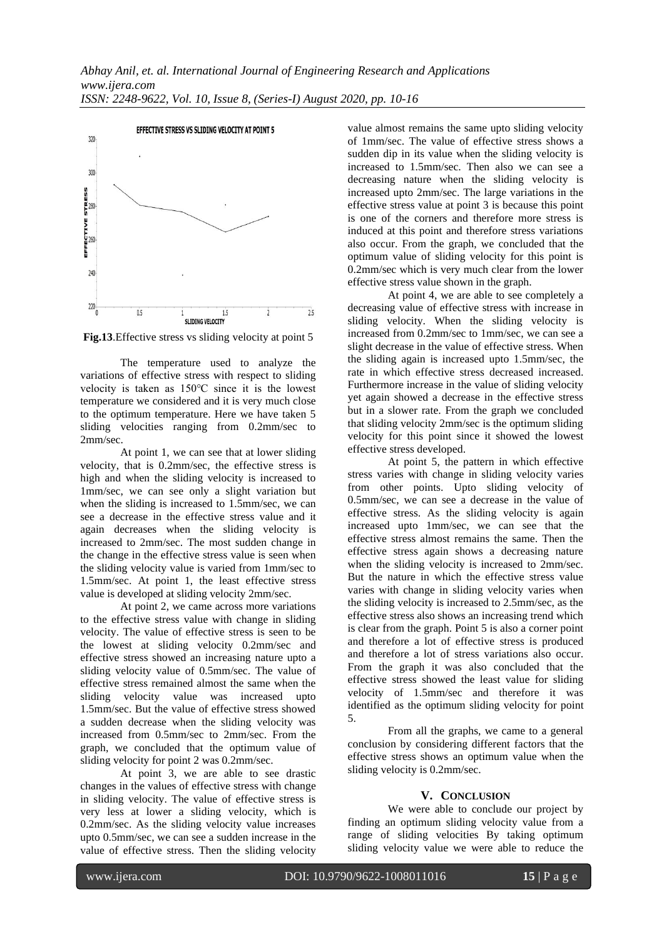

**Fig.13**.Effective stress vs sliding velocity at point 5

The temperature used to analyze the variations of effective stress with respect to sliding velocity is taken as 150℃ since it is the lowest temperature we considered and it is very much close to the optimum temperature. Here we have taken 5 sliding velocities ranging from 0.2mm/sec to 2mm/sec.

At point 1, we can see that at lower sliding velocity, that is 0.2mm/sec, the effective stress is high and when the sliding velocity is increased to 1mm/sec, we can see only a slight variation but when the sliding is increased to 1.5mm/sec, we can see a decrease in the effective stress value and it again decreases when the sliding velocity is increased to 2mm/sec. The most sudden change in the change in the effective stress value is seen when the sliding velocity value is varied from 1mm/sec to 1.5mm/sec. At point 1, the least effective stress value is developed at sliding velocity 2mm/sec.

At point 2, we came across more variations to the effective stress value with change in sliding velocity. The value of effective stress is seen to be the lowest at sliding velocity 0.2mm/sec and effective stress showed an increasing nature upto a sliding velocity value of 0.5mm/sec. The value of effective stress remained almost the same when the sliding velocity value was increased upto 1.5mm/sec. But the value of effective stress showed a sudden decrease when the sliding velocity was increased from 0.5mm/sec to 2mm/sec. From the graph, we concluded that the optimum value of sliding velocity for point 2 was 0.2mm/sec.

At point 3, we are able to see drastic changes in the values of effective stress with change in sliding velocity. The value of effective stress is very less at lower a sliding velocity, which is 0.2mm/sec. As the sliding velocity value increases upto 0.5mm/sec, we can see a sudden increase in the value of effective stress. Then the sliding velocity value almost remains the same upto sliding velocity of 1mm/sec. The value of effective stress shows a sudden dip in its value when the sliding velocity is increased to 1.5mm/sec. Then also we can see a decreasing nature when the sliding velocity is increased upto 2mm/sec. The large variations in the effective stress value at point 3 is because this point is one of the corners and therefore more stress is induced at this point and therefore stress variations also occur. From the graph, we concluded that the optimum value of sliding velocity for this point is 0.2mm/sec which is very much clear from the lower effective stress value shown in the graph.

At point 4, we are able to see completely a decreasing value of effective stress with increase in sliding velocity. When the sliding velocity is increased from 0.2mm/sec to 1mm/sec, we can see a slight decrease in the value of effective stress. When the sliding again is increased upto 1.5mm/sec, the rate in which effective stress decreased increased. Furthermore increase in the value of sliding velocity yet again showed a decrease in the effective stress but in a slower rate. From the graph we concluded that sliding velocity 2mm/sec is the optimum sliding velocity for this point since it showed the lowest effective stress developed.

At point 5, the pattern in which effective stress varies with change in sliding velocity varies from other points. Upto sliding velocity of 0.5mm/sec, we can see a decrease in the value of effective stress. As the sliding velocity is again increased upto 1mm/sec, we can see that the effective stress almost remains the same. Then the effective stress again shows a decreasing nature when the sliding velocity is increased to 2mm/sec. But the nature in which the effective stress value varies with change in sliding velocity varies when the sliding velocity is increased to 2.5mm/sec, as the effective stress also shows an increasing trend which is clear from the graph. Point 5 is also a corner point and therefore a lot of effective stress is produced and therefore a lot of stress variations also occur. From the graph it was also concluded that the effective stress showed the least value for sliding velocity of 1.5mm/sec and therefore it was identified as the optimum sliding velocity for point 5.

From all the graphs, we came to a general conclusion by considering different factors that the effective stress shows an optimum value when the sliding velocity is 0.2mm/sec.

## **V. CONCLUSION**

We were able to conclude our project by finding an optimum sliding velocity value from a range of sliding velocities By taking optimum sliding velocity value we were able to reduce the